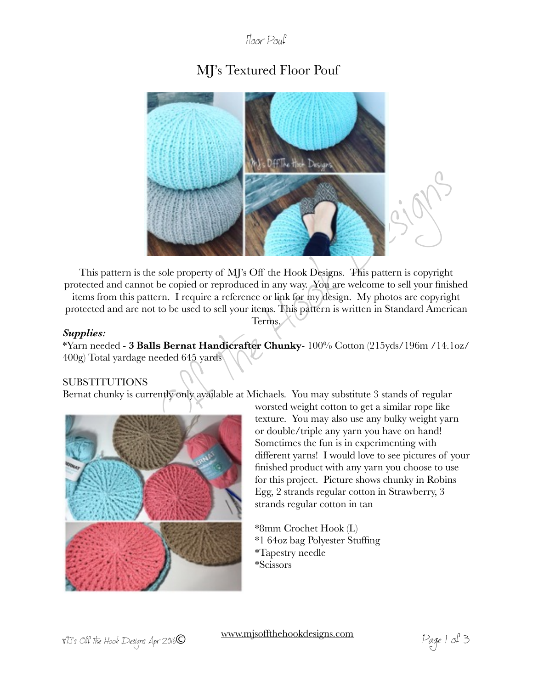### Floor Pouf

# MJ's Textured Floor Pouf



This pattern is the sole property of MJ's Off the Hook Designs. This pattern is copyright protected and cannot be copied or reproduced in any way. You are welcome to sell your finished items from this pattern. I require a reference or link for my design. My photos are copyright protected and are not to be used to sell your items. This pattern is written in Standard American Terms.

#### *Supplies:*

\*Yarn needed - **3 Balls Bernat Handicrafter Chunky**- 100% Cotton (215yds/196m /14.1oz/ 400g) Total yardage needed 645 yards

#### SUBSTITUTIONS

Bernat chunky is currently only available at Michaels. You may substitute 3 stands of regular



worsted weight cotton to get a similar rope like texture. You may also use any bulky weight yarn or double/triple any yarn you have on hand! Sometimes the fun is in experimenting with different yarns! I would love to see pictures of your finished product with any yarn you choose to use for this project. Picture shows chunky in Robins Egg, 2 strands regular cotton in Strawberry, 3 strands regular cotton in tan

\*8mm Crochet Hook (L) \*1 64oz bag Polyester Stuffing \*Tapestry needle \*Scissors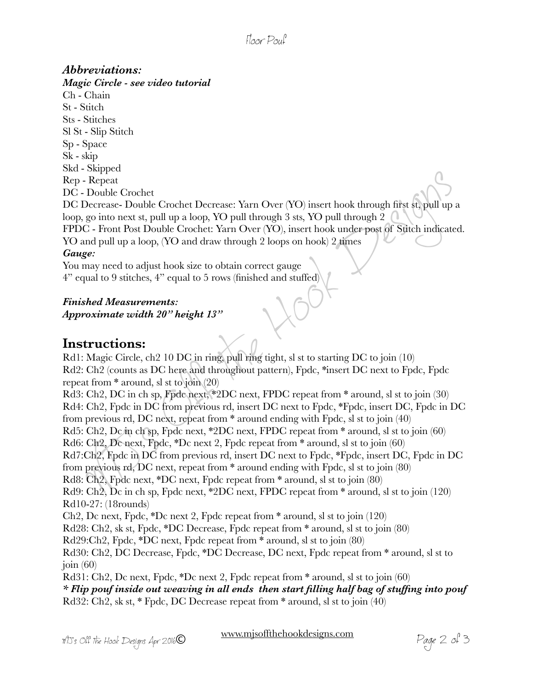## Floor Pouf

### *Abbreviations:*

*Magic Circle - see video tutorial*  Ch - Chain St - Stitch Sts - Stitches Sl St - Slip Stitch Sp - Space Sk - skip Skd - Skipped Rep - Repeat DC - Double Crochet DC Decrease- Double Crochet Decrease: Yarn Over (YO) insert hook through first st, pull up a loop, go into next st, pull up a loop, YO pull through 3 sts, YO pull through 2  $\bigcap$ FPDC - Front Post Double Crochet: Yarn Over (YO), insert hook under post of Stitch indicated. YO and pull up a loop, (YO and draw through 2 loops on hook) 2 times *Gauge:* 

You may need to adjust hook size to obtain correct gauge 4" equal to 9 stitches, 4" equal to 5 rows (finished and stuffed)

*Finished Measurements: Approximate width 20" height 13"* 

### **Instructions:**

Rd1: Magic Circle, ch2 10 DC in ring, pull ring tight, sl st to starting DC to join (10) Rd2: Ch2 (counts as DC here and throughout pattern), Fpdc, \*insert DC next to Fpdc, Fpdc repeat from  $*$  around, sl st to join  $(20)$ Rd3: Ch2, DC in ch sp, Fpdc next, \*2DC next, FPDC repeat from \* around, sl st to join (30)

Concerned to a suppressed of the Hooder of the Hook School (2) - Double Crocket Decrease: Yarn Over (YO) insert hook through first stypull up<br>
2). Pepeat<br>
2) Decrease- Double Crochet Decrease: Yarn Over (YO) insert hook th Rd4: Ch2, Fpdc in DC from previous rd, insert DC next to Fpdc, \*Fpdc, insert DC, Fpdc in DC from previous rd, DC next, repeat from \* around ending with Fpdc, sl st to join (40) Rd5: Ch2, Dc in ch sp, Fpdc next, \*2DC next, FPDC repeat from \* around, sl st to join (60) Rd6: Ch2, Dc next, Fpdc, \*Dc next 2, Fpdc repeat from \* around, sl st to join (60) Rd7:Ch2, Fpdc in DC from previous rd, insert DC next to Fpdc, \*Fpdc, insert DC, Fpdc in DC from previous rd, DC next, repeat from \* around ending with Fpdc, sl st to join (80) Rd8: Ch2, Fpdc next, \*DC next, Fpdc repeat from \* around, sl st to join (80) Rd9: Ch2, Dc in ch sp, Fpdc next, \*2DC next, FPDC repeat from \* around, sl st to join (120) Rd10-27: (18rounds) Ch2, Dc next, Fpdc, \*Dc next 2, Fpdc repeat from \* around, sl st to join (120) Rd28: Ch2, sk st, Fpdc, \*DC Decrease, Fpdc repeat from \* around, sl st to join (80) Rd29:Ch2, Fpdc, \*DC next, Fpdc repeat from \* around, sl st to join (80) Rd30: Ch2, DC Decrease, Fpdc, \*DC Decrease, DC next, Fpdc repeat from \* around, sl st to join  $(60)$ Rd31: Ch2, Dc next, Fpdc, \*Dc next 2, Fpdc repeat from \* around, sl st to join (60) *\* Flip pouf inside out weaving in all ends then start filling half bag of stuffing into pouf*  Rd32: Ch2, sk st, \* Fpdc, DC Decrease repeat from \* around, sl st to join (40)